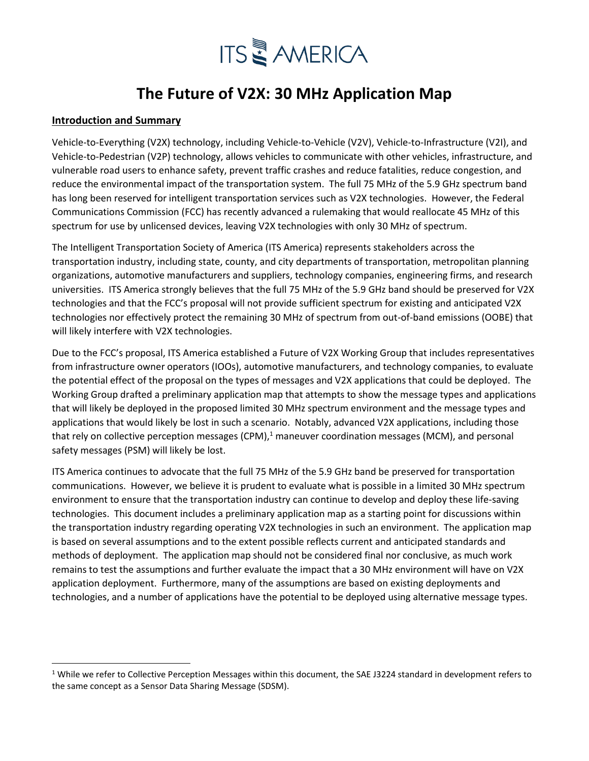# **ITS & AMERICA**

### **The Future of V2X: 30 MHz Application Map**

### **Introduction and Summary**

Vehicle-to-Everything (V2X) technology, including Vehicle-to-Vehicle (V2V), Vehicle-to-Infrastructure (V2I), and Vehicle-to-Pedestrian (V2P) technology, allows vehicles to communicate with other vehicles, infrastructure, and vulnerable road users to enhance safety, prevent traffic crashes and reduce fatalities, reduce congestion, and reduce the environmental impact of the transportation system. The full 75 MHz of the 5.9 GHz spectrum band has long been reserved for intelligent transportation services such as V2X technologies. However, the Federal Communications Commission (FCC) has recently advanced a rulemaking that would reallocate 45 MHz of this spectrum for use by unlicensed devices, leaving V2X technologies with only 30 MHz of spectrum.

The Intelligent Transportation Society of America (ITS America) represents stakeholders across the transportation industry, including state, county, and city departments of transportation, metropolitan planning organizations, automotive manufacturers and suppliers, technology companies, engineering firms, and research universities. ITS America strongly believes that the full 75 MHz of the 5.9 GHz band should be preserved for V2X technologies and that the FCC's proposal will not provide sufficient spectrum for existing and anticipated V2X technologies nor effectively protect the remaining 30 MHz of spectrum from out-of-band emissions (OOBE) that will likely interfere with V2X technologies.

Due to the FCC's proposal, ITS America established a Future of V2X Working Group that includes representatives from infrastructure owner operators (IOOs), automotive manufacturers, and technology companies, to evaluate the potential effect of the proposal on the types of messages and V2X applications that could be deployed. The Working Group drafted a preliminary application map that attempts to show the message types and applications that will likely be deployed in the proposed limited 30 MHz spectrum environment and the message types and applications that would likely be lost in such a scenario. Notably, advanced V2X applications, including those that rely on collective perception messages (CPM), $<sup>1</sup>$  maneuver coordination messages (MCM), and personal</sup> safety messages (PSM) will likely be lost.

ITS America continues to advocate that the full 75 MHz of the 5.9 GHz band be preserved for transportation communications. However, we believe it is prudent to evaluate what is possible in a limited 30 MHz spectrum environment to ensure that the transportation industry can continue to develop and deploy these life-saving technologies. This document includes a preliminary application map as a starting point for discussions within the transportation industry regarding operating V2X technologies in such an environment. The application map is based on several assumptions and to the extent possible reflects current and anticipated standards and methods of deployment. The application map should not be considered final nor conclusive, as much work remains to test the assumptions and further evaluate the impact that a 30 MHz environment will have on V2X application deployment. Furthermore, many of the assumptions are based on existing deployments and technologies, and a number of applications have the potential to be deployed using alternative message types.

 $1$  While we refer to Collective Perception Messages within this document, the SAE J3224 standard in development refers to the same concept as a Sensor Data Sharing Message (SDSM).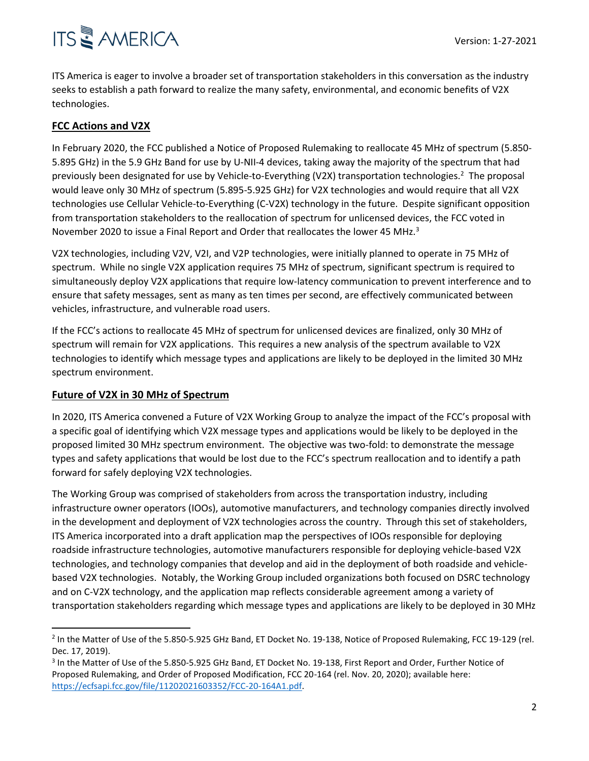## **ITS & AMERICA**

ITS America is eager to involve a broader set of transportation stakeholders in this conversation as the industry seeks to establish a path forward to realize the many safety, environmental, and economic benefits of V2X technologies.

### **FCC Actions and V2X**

In February 2020, the FCC published a Notice of Proposed Rulemaking to reallocate 45 MHz of spectrum (5.850- 5.895 GHz) in the 5.9 GHz Band for use by U-NII-4 devices, taking away the majority of the spectrum that had previously been designated for use by Vehicle-to-Everything (V2X) transportation technologies.<sup>2</sup> The proposal would leave only 30 MHz of spectrum (5.895-5.925 GHz) for V2X technologies and would require that all V2X technologies use Cellular Vehicle-to-Everything (C-V2X) technology in the future. Despite significant opposition from transportation stakeholders to the reallocation of spectrum for unlicensed devices, the FCC voted in November 2020 to issue a Final Report and Order that reallocates the lower 45 MHz.<sup>3</sup>

V2X technologies, including V2V, V2I, and V2P technologies, were initially planned to operate in 75 MHz of spectrum. While no single V2X application requires 75 MHz of spectrum, significant spectrum is required to simultaneously deploy V2X applications that require low-latency communication to prevent interference and to ensure that safety messages, sent as many as ten times per second, are effectively communicated between vehicles, infrastructure, and vulnerable road users.

If the FCC's actions to reallocate 45 MHz of spectrum for unlicensed devices are finalized, only 30 MHz of spectrum will remain for V2X applications. This requires a new analysis of the spectrum available to V2X technologies to identify which message types and applications are likely to be deployed in the limited 30 MHz spectrum environment.

### **Future of V2X in 30 MHz of Spectrum**

In 2020, ITS America convened a Future of V2X Working Group to analyze the impact of the FCC's proposal with a specific goal of identifying which V2X message types and applications would be likely to be deployed in the proposed limited 30 MHz spectrum environment. The objective was two-fold: to demonstrate the message types and safety applications that would be lost due to the FCC's spectrum reallocation and to identify a path forward for safely deploying V2X technologies.

The Working Group was comprised of stakeholders from across the transportation industry, including infrastructure owner operators (IOOs), automotive manufacturers, and technology companies directly involved in the development and deployment of V2X technologies across the country. Through this set of stakeholders, ITS America incorporated into a draft application map the perspectives of IOOs responsible for deploying roadside infrastructure technologies, automotive manufacturers responsible for deploying vehicle-based V2X technologies, and technology companies that develop and aid in the deployment of both roadside and vehiclebased V2X technologies. Notably, the Working Group included organizations both focused on DSRC technology and on C-V2X technology, and the application map reflects considerable agreement among a variety of transportation stakeholders regarding which message types and applications are likely to be deployed in 30 MHz

<sup>&</sup>lt;sup>2</sup> In the Matter of Use of the 5.850-5.925 GHz Band, ET Docket No. 19-138, Notice of Proposed Rulemaking, FCC 19-129 (rel. Dec. 17, 2019).

<sup>&</sup>lt;sup>3</sup> In the Matter of Use of the 5.850-5.925 GHz Band, ET Docket No. 19-138, First Report and Order, Further Notice of Proposed Rulemaking, and Order of Proposed Modification, FCC 20-164 (rel. Nov. 20, 2020); available here: [https://ecfsapi.fcc.gov/file/11202021603352/FCC-20-164A1.pdf.](https://ecfsapi.fcc.gov/file/11202021603352/FCC-20-164A1.pdf)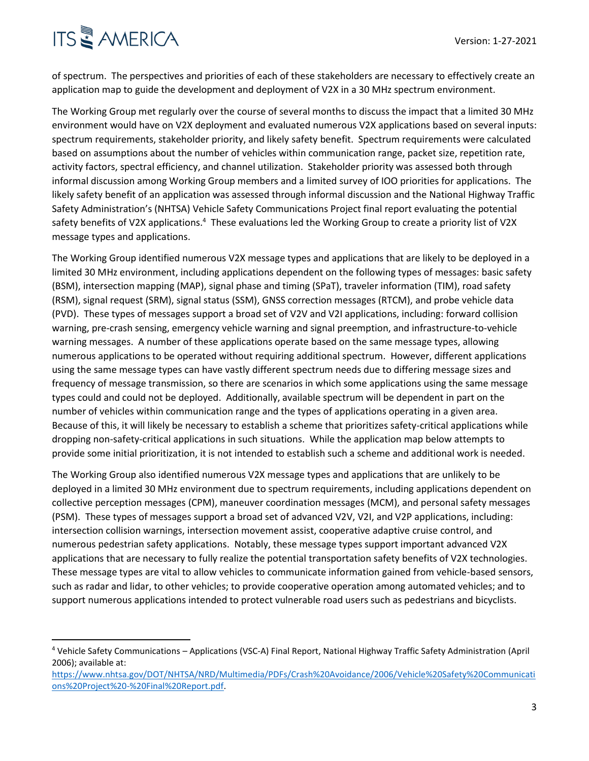## **ITS & AMERICA**

of spectrum. The perspectives and priorities of each of these stakeholders are necessary to effectively create an application map to guide the development and deployment of V2X in a 30 MHz spectrum environment.

The Working Group met regularly over the course of several months to discuss the impact that a limited 30 MHz environment would have on V2X deployment and evaluated numerous V2X applications based on several inputs: spectrum requirements, stakeholder priority, and likely safety benefit. Spectrum requirements were calculated based on assumptions about the number of vehicles within communication range, packet size, repetition rate, activity factors, spectral efficiency, and channel utilization. Stakeholder priority was assessed both through informal discussion among Working Group members and a limited survey of IOO priorities for applications. The likely safety benefit of an application was assessed through informal discussion and the National Highway Traffic Safety Administration's (NHTSA) Vehicle Safety Communications Project final report evaluating the potential safety benefits of V2X applications.<sup>4</sup> These evaluations led the Working Group to create a priority list of V2X message types and applications.

The Working Group identified numerous V2X message types and applications that are likely to be deployed in a limited 30 MHz environment, including applications dependent on the following types of messages: basic safety (BSM), intersection mapping (MAP), signal phase and timing (SPaT), traveler information (TIM), road safety (RSM), signal request (SRM), signal status (SSM), GNSS correction messages (RTCM), and probe vehicle data (PVD). These types of messages support a broad set of V2V and V2I applications, including: forward collision warning, pre-crash sensing, emergency vehicle warning and signal preemption, and infrastructure-to-vehicle warning messages. A number of these applications operate based on the same message types, allowing numerous applications to be operated without requiring additional spectrum. However, different applications using the same message types can have vastly different spectrum needs due to differing message sizes and frequency of message transmission, so there are scenarios in which some applications using the same message types could and could not be deployed. Additionally, available spectrum will be dependent in part on the number of vehicles within communication range and the types of applications operating in a given area. Because of this, it will likely be necessary to establish a scheme that prioritizes safety-critical applications while dropping non-safety-critical applications in such situations. While the application map below attempts to provide some initial prioritization, it is not intended to establish such a scheme and additional work is needed.

The Working Group also identified numerous V2X message types and applications that are unlikely to be deployed in a limited 30 MHz environment due to spectrum requirements, including applications dependent on collective perception messages (CPM), maneuver coordination messages (MCM), and personal safety messages (PSM). These types of messages support a broad set of advanced V2V, V2I, and V2P applications, including: intersection collision warnings, intersection movement assist, cooperative adaptive cruise control, and numerous pedestrian safety applications. Notably, these message types support important advanced V2X applications that are necessary to fully realize the potential transportation safety benefits of V2X technologies. These message types are vital to allow vehicles to communicate information gained from vehicle-based sensors, such as radar and lidar, to other vehicles; to provide cooperative operation among automated vehicles; and to support numerous applications intended to protect vulnerable road users such as pedestrians and bicyclists.

<sup>4</sup> Vehicle Safety Communications – Applications (VSC-A) Final Report, National Highway Traffic Safety Administration (April 2006); available at:

[https://www.nhtsa.gov/DOT/NHTSA/NRD/Multimedia/PDFs/Crash%20Avoidance/2006/Vehicle%20Safety%20Communicati](https://www.nhtsa.gov/DOT/NHTSA/NRD/Multimedia/PDFs/Crash%20Avoidance/2006/Vehicle%20Safety%20Communications%20Project%20-%20Final%20Report.pdf) [ons%20Project%20-%20Final%20Report.pdf.](https://www.nhtsa.gov/DOT/NHTSA/NRD/Multimedia/PDFs/Crash%20Avoidance/2006/Vehicle%20Safety%20Communications%20Project%20-%20Final%20Report.pdf)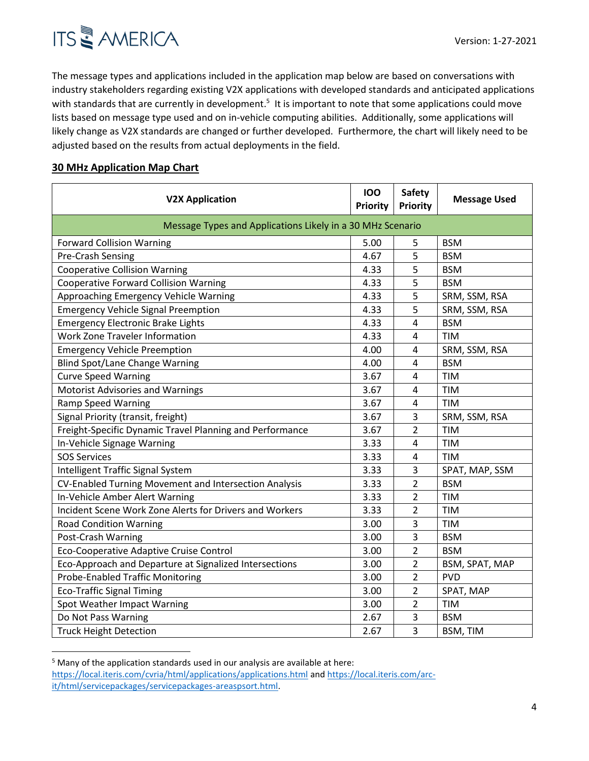

The message types and applications included in the application map below are based on conversations with industry stakeholders regarding existing V2X applications with developed standards and anticipated applications with standards that are currently in development.<sup>5</sup> It is important to note that some applications could move lists based on message type used and on in-vehicle computing abilities. Additionally, some applications will likely change as V2X standards are changed or further developed. Furthermore, the chart will likely need to be adjusted based on the results from actual deployments in the field.

### **30 MHz Application Map Chart**

| <b>V2X Application</b>                                     | 100<br><b>Priority</b> | <b>Safety</b><br><b>Priority</b> | <b>Message Used</b> |  |  |
|------------------------------------------------------------|------------------------|----------------------------------|---------------------|--|--|
| Message Types and Applications Likely in a 30 MHz Scenario |                        |                                  |                     |  |  |
| <b>Forward Collision Warning</b>                           | 5.00                   | 5                                | <b>BSM</b>          |  |  |
| Pre-Crash Sensing                                          | 4.67                   | 5                                | <b>BSM</b>          |  |  |
| <b>Cooperative Collision Warning</b>                       | 4.33                   | 5                                | <b>BSM</b>          |  |  |
| <b>Cooperative Forward Collision Warning</b>               | 4.33                   | 5                                | <b>BSM</b>          |  |  |
| Approaching Emergency Vehicle Warning                      | 4.33                   | 5                                | SRM, SSM, RSA       |  |  |
| <b>Emergency Vehicle Signal Preemption</b>                 | 4.33                   | 5                                | SRM, SSM, RSA       |  |  |
| <b>Emergency Electronic Brake Lights</b>                   | 4.33                   | 4                                | <b>BSM</b>          |  |  |
| Work Zone Traveler Information                             | 4.33                   | 4                                | <b>TIM</b>          |  |  |
| <b>Emergency Vehicle Preemption</b>                        | 4.00                   | 4                                | SRM, SSM, RSA       |  |  |
| <b>Blind Spot/Lane Change Warning</b>                      | 4.00                   | 4                                | <b>BSM</b>          |  |  |
| <b>Curve Speed Warning</b>                                 | 3.67                   | 4                                | <b>TIM</b>          |  |  |
| <b>Motorist Advisories and Warnings</b>                    | 3.67                   | 4                                | <b>TIM</b>          |  |  |
| <b>Ramp Speed Warning</b>                                  | 3.67                   | $\overline{4}$                   | <b>TIM</b>          |  |  |
| Signal Priority (transit, freight)                         | 3.67                   | 3                                | SRM, SSM, RSA       |  |  |
| Freight-Specific Dynamic Travel Planning and Performance   | 3.67                   | 2                                | <b>TIM</b>          |  |  |
| In-Vehicle Signage Warning                                 | 3.33                   | $\overline{4}$                   | <b>TIM</b>          |  |  |
| <b>SOS Services</b>                                        | 3.33                   | 4                                | <b>TIM</b>          |  |  |
| Intelligent Traffic Signal System                          | 3.33                   | 3                                | SPAT, MAP, SSM      |  |  |
| CV-Enabled Turning Movement and Intersection Analysis      | 3.33                   | 2                                | <b>BSM</b>          |  |  |
| In-Vehicle Amber Alert Warning                             | 3.33                   | 2                                | <b>TIM</b>          |  |  |
| Incident Scene Work Zone Alerts for Drivers and Workers    | 3.33                   | 2                                | <b>TIM</b>          |  |  |
| <b>Road Condition Warning</b>                              | 3.00                   | 3                                | <b>TIM</b>          |  |  |
| Post-Crash Warning                                         | 3.00                   | 3                                | <b>BSM</b>          |  |  |
| Eco-Cooperative Adaptive Cruise Control                    | 3.00                   | $\overline{2}$                   | <b>BSM</b>          |  |  |
| Eco-Approach and Departure at Signalized Intersections     | 3.00                   | $\overline{2}$                   | BSM, SPAT, MAP      |  |  |
| <b>Probe-Enabled Traffic Monitoring</b>                    | 3.00                   | $\overline{2}$                   | <b>PVD</b>          |  |  |
| <b>Eco-Traffic Signal Timing</b>                           | 3.00                   | 2                                | SPAT, MAP           |  |  |
| Spot Weather Impact Warning                                | 3.00                   | 2                                | <b>TIM</b>          |  |  |
| Do Not Pass Warning                                        | 2.67                   | 3                                | <b>BSM</b>          |  |  |
| <b>Truck Height Detection</b>                              | 2.67                   | 3                                | BSM, TIM            |  |  |

<sup>&</sup>lt;sup>5</sup> Many of the application standards used in our analysis are available at here: <https://local.iteris.com/cvria/html/applications/applications.html> an[d https://local.iteris.com/arc](https://local.iteris.com/arc-it/html/servicepackages/servicepackages-areaspsort.html)[it/html/servicepackages/servicepackages-areaspsort.html.](https://local.iteris.com/arc-it/html/servicepackages/servicepackages-areaspsort.html)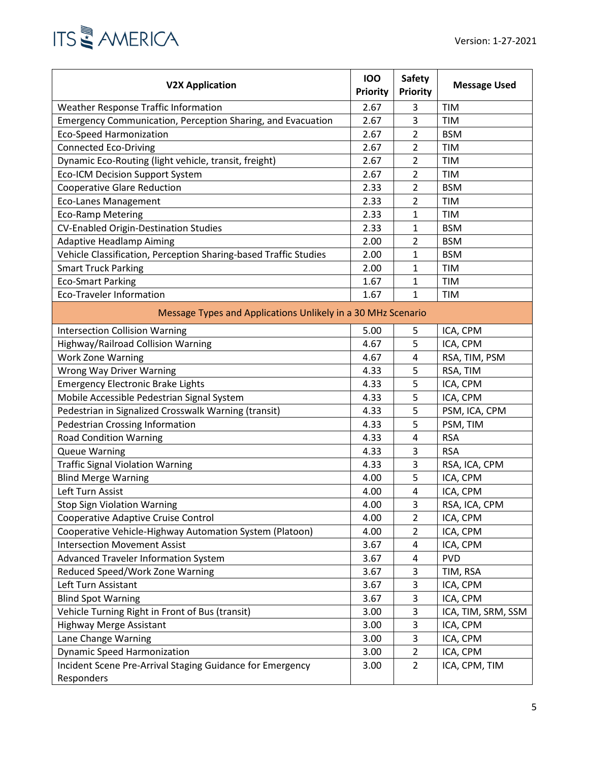

| <b>V2X Application</b>                                           | 100<br><b>Priority</b> | <b>Safety</b><br><b>Priority</b> | <b>Message Used</b> |  |  |
|------------------------------------------------------------------|------------------------|----------------------------------|---------------------|--|--|
| Weather Response Traffic Information                             | 2.67                   | 3                                | <b>TIM</b>          |  |  |
| Emergency Communication, Perception Sharing, and Evacuation      | 2.67                   | 3                                | <b>TIM</b>          |  |  |
| <b>Eco-Speed Harmonization</b>                                   | 2.67                   | $\overline{2}$                   | <b>BSM</b>          |  |  |
| <b>Connected Eco-Driving</b>                                     | 2.67                   | 2                                | TIM                 |  |  |
| Dynamic Eco-Routing (light vehicle, transit, freight)            | 2.67                   | 2                                | <b>TIM</b>          |  |  |
| <b>Eco-ICM Decision Support System</b>                           | 2.67                   | 2                                | <b>TIM</b>          |  |  |
| <b>Cooperative Glare Reduction</b>                               | 2.33                   | 2                                | <b>BSM</b>          |  |  |
| <b>Eco-Lanes Management</b>                                      | 2.33                   | 2                                | <b>TIM</b>          |  |  |
| <b>Eco-Ramp Metering</b>                                         | 2.33                   | $\mathbf{1}$                     | <b>TIM</b>          |  |  |
| <b>CV-Enabled Origin-Destination Studies</b>                     | 2.33                   | 1                                | <b>BSM</b>          |  |  |
| <b>Adaptive Headlamp Aiming</b>                                  | 2.00                   | 2                                | <b>BSM</b>          |  |  |
| Vehicle Classification, Perception Sharing-based Traffic Studies | 2.00                   | 1                                | <b>BSM</b>          |  |  |
| <b>Smart Truck Parking</b>                                       | 2.00                   | 1                                | <b>TIM</b>          |  |  |
| <b>Eco-Smart Parking</b>                                         | 1.67                   | 1                                | <b>TIM</b>          |  |  |
| <b>Eco-Traveler Information</b>                                  | 1.67                   | 1                                | TIM                 |  |  |
| Message Types and Applications Unlikely in a 30 MHz Scenario     |                        |                                  |                     |  |  |
| <b>Intersection Collision Warning</b>                            | 5.00                   | 5                                | ICA, CPM            |  |  |
| Highway/Railroad Collision Warning                               | 4.67                   | 5                                | ICA, CPM            |  |  |
| <b>Work Zone Warning</b>                                         | 4.67                   | 4                                | RSA, TIM, PSM       |  |  |
| Wrong Way Driver Warning                                         | 4.33                   | 5                                | RSA, TIM            |  |  |
| <b>Emergency Electronic Brake Lights</b>                         | 4.33                   | 5                                | ICA, CPM            |  |  |
| Mobile Accessible Pedestrian Signal System                       | 4.33                   | 5                                | ICA, CPM            |  |  |
| Pedestrian in Signalized Crosswalk Warning (transit)             | 4.33                   | 5                                | PSM, ICA, CPM       |  |  |
| <b>Pedestrian Crossing Information</b>                           | 4.33                   | 5                                | PSM, TIM            |  |  |
| <b>Road Condition Warning</b>                                    | 4.33                   | 4                                | <b>RSA</b>          |  |  |
| <b>Queue Warning</b>                                             | 4.33                   | 3                                | <b>RSA</b>          |  |  |
| <b>Traffic Signal Violation Warning</b>                          | 4.33                   | 3                                | RSA, ICA, CPM       |  |  |
| <b>Blind Merge Warning</b>                                       | 4.00                   | 5                                | ICA, CPM            |  |  |
| Left Turn Assist                                                 | 4.00                   | 4                                | ICA, CPM            |  |  |
| <b>Stop Sign Violation Warning</b>                               | 4.00                   | 3                                | RSA, ICA, CPM       |  |  |
| Cooperative Adaptive Cruise Control                              | 4.00                   | 2                                | ICA, CPM            |  |  |
| Cooperative Vehicle-Highway Automation System (Platoon)          | 4.00                   | $\overline{2}$                   | ICA, CPM            |  |  |
| <b>Intersection Movement Assist</b>                              | 3.67                   | 4                                | ICA, CPM            |  |  |
| Advanced Traveler Information System                             | 3.67                   | 4                                | <b>PVD</b>          |  |  |
| Reduced Speed/Work Zone Warning                                  | 3.67                   | 3                                | TIM, RSA            |  |  |
| Left Turn Assistant                                              | 3.67                   | 3                                | ICA, CPM            |  |  |
| <b>Blind Spot Warning</b>                                        | 3.67                   | 3                                | ICA, CPM            |  |  |
| Vehicle Turning Right in Front of Bus (transit)                  | 3.00                   | 3                                | ICA, TIM, SRM, SSM  |  |  |
| <b>Highway Merge Assistant</b>                                   | 3.00                   | 3                                | ICA, CPM            |  |  |
| Lane Change Warning                                              | 3.00                   | 3                                | ICA, CPM            |  |  |
| <b>Dynamic Speed Harmonization</b>                               | 3.00                   | $\overline{2}$                   | ICA, CPM            |  |  |
| Incident Scene Pre-Arrival Staging Guidance for Emergency        | 3.00                   | $\overline{2}$                   | ICA, CPM, TIM       |  |  |
| Responders                                                       |                        |                                  |                     |  |  |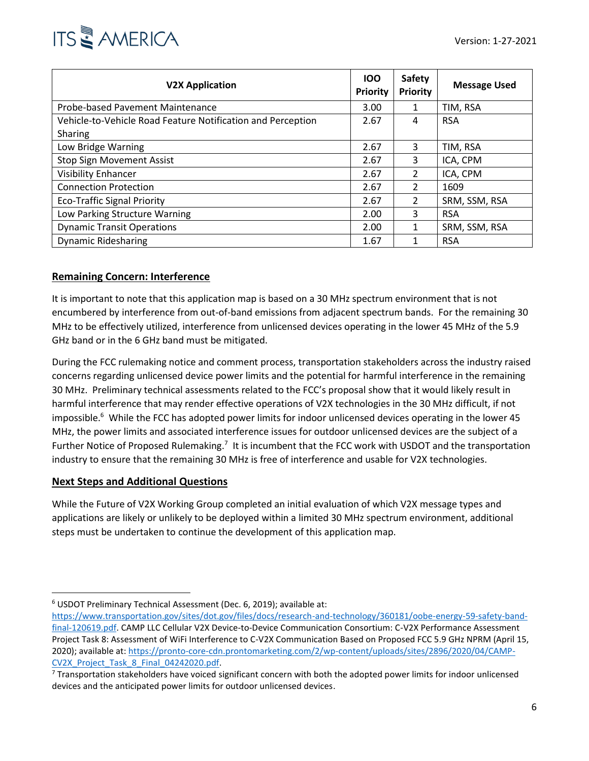

| <b>V2X Application</b>                                      | 100<br><b>Priority</b> | <b>Safety</b><br><b>Priority</b> | <b>Message Used</b> |
|-------------------------------------------------------------|------------------------|----------------------------------|---------------------|
| Probe-based Pavement Maintenance                            | 3.00                   | 1                                | TIM, RSA            |
| Vehicle-to-Vehicle Road Feature Notification and Perception | 2.67                   | 4                                | <b>RSA</b>          |
| Sharing                                                     |                        |                                  |                     |
| Low Bridge Warning                                          | 2.67                   | 3                                | TIM, RSA            |
| <b>Stop Sign Movement Assist</b>                            | 2.67                   | 3                                | ICA, CPM            |
| <b>Visibility Enhancer</b>                                  | 2.67                   | 2                                | ICA, CPM            |
| <b>Connection Protection</b>                                | 2.67                   | $\mathfrak{p}$                   | 1609                |
| <b>Eco-Traffic Signal Priority</b>                          | 2.67                   | 2                                | SRM, SSM, RSA       |
| Low Parking Structure Warning                               | 2.00                   | 3                                | <b>RSA</b>          |
| <b>Dynamic Transit Operations</b>                           | 2.00                   | 1                                | SRM, SSM, RSA       |
| <b>Dynamic Ridesharing</b>                                  | 1.67                   | 1                                | <b>RSA</b>          |

### **Remaining Concern: Interference**

It is important to note that this application map is based on a 30 MHz spectrum environment that is not encumbered by interference from out-of-band emissions from adjacent spectrum bands. For the remaining 30 MHz to be effectively utilized, interference from unlicensed devices operating in the lower 45 MHz of the 5.9 GHz band or in the 6 GHz band must be mitigated.

During the FCC rulemaking notice and comment process, transportation stakeholders across the industry raised concerns regarding unlicensed device power limits and the potential for harmful interference in the remaining 30 MHz. Preliminary technical assessments related to the FCC's proposal show that it would likely result in harmful interference that may render effective operations of V2X technologies in the 30 MHz difficult, if not impossible.<sup>6</sup> While the FCC has adopted power limits for indoor unlicensed devices operating in the lower 45 MHz, the power limits and associated interference issues for outdoor unlicensed devices are the subject of a Further Notice of Proposed Rulemaking.<sup>7</sup> It is incumbent that the FCC work with USDOT and the transportation industry to ensure that the remaining 30 MHz is free of interference and usable for V2X technologies.

### **Next Steps and Additional Questions**

While the Future of V2X Working Group completed an initial evaluation of which V2X message types and applications are likely or unlikely to be deployed within a limited 30 MHz spectrum environment, additional steps must be undertaken to continue the development of this application map.

<sup>6</sup> USDOT Preliminary Technical Assessment (Dec. 6, 2019); available at:

[https://www.transportation.gov/sites/dot.gov/files/docs/research-and-technology/360181/oobe-energy-59-safety-band](https://www.transportation.gov/sites/dot.gov/files/docs/research-and-technology/360181/oobe-energy-59-safety-band-final-120619.pdf)[final-120619.pdf.](https://www.transportation.gov/sites/dot.gov/files/docs/research-and-technology/360181/oobe-energy-59-safety-band-final-120619.pdf) CAMP LLC Cellular V2X Device-to-Device Communication Consortium: C-V2X Performance Assessment Project Task 8: Assessment of WiFi Interference to C-V2X Communication Based on Proposed FCC 5.9 GHz NPRM (April 15, 2020); available at[: https://pronto-core-cdn.prontomarketing.com/2/wp-content/uploads/sites/2896/2020/04/CAMP-](https://pronto-core-cdn.prontomarketing.com/2/wp-content/uploads/sites/2896/2020/04/CAMP-CV2X_Project_Task_8_Final_04242020.pdf)[CV2X\\_Project\\_Task\\_8\\_Final\\_04242020.pdf.](https://pronto-core-cdn.prontomarketing.com/2/wp-content/uploads/sites/2896/2020/04/CAMP-CV2X_Project_Task_8_Final_04242020.pdf)

<sup>&</sup>lt;sup>7</sup> Transportation stakeholders have voiced significant concern with both the adopted power limits for indoor unlicensed devices and the anticipated power limits for outdoor unlicensed devices.